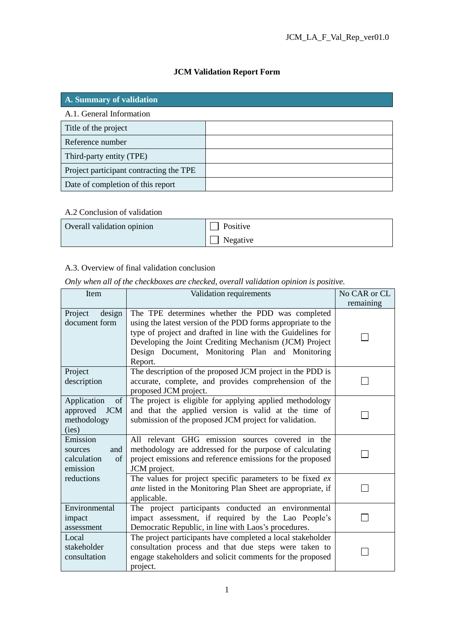# **JCM Validation Report Form**

| A. Summary of validation                |  |  |
|-----------------------------------------|--|--|
| A.1. General Information                |  |  |
| Title of the project                    |  |  |
| Reference number                        |  |  |
| Third-party entity (TPE)                |  |  |
| Project participant contracting the TPE |  |  |
| Date of completion of this report       |  |  |

#### A.2 Conclusion of validation

| Overall validation opinion | Positive |
|----------------------------|----------|
|                            | Negative |

## A.3. Overview of final validation conclusion

*Only when all of the checkboxes are checked, overall validation opinion is positive.*

| Item                                                                | Validation requirements                                                                                                                                                                                                                                                                                 |           |
|---------------------------------------------------------------------|---------------------------------------------------------------------------------------------------------------------------------------------------------------------------------------------------------------------------------------------------------------------------------------------------------|-----------|
|                                                                     |                                                                                                                                                                                                                                                                                                         | remaining |
| Project<br>design<br>document form                                  | The TPE determines whether the PDD was completed<br>using the latest version of the PDD forms appropriate to the<br>type of project and drafted in line with the Guidelines for<br>Developing the Joint Crediting Mechanism (JCM) Project<br>Design Document, Monitoring Plan and Monitoring<br>Report. |           |
| Project<br>description                                              | The description of the proposed JCM project in the PDD is<br>accurate, complete, and provides comprehension of the<br>proposed JCM project.                                                                                                                                                             |           |
| Application<br>of<br><b>JCM</b><br>approved<br>methodology<br>(ies) | The project is eligible for applying applied methodology<br>and that the applied version is valid at the time of<br>submission of the proposed JCM project for validation.                                                                                                                              |           |
| Emission<br>and<br>sources<br>of<br>calculation<br>emission         | All relevant GHG emission sources covered in the<br>methodology are addressed for the purpose of calculating<br>project emissions and reference emissions for the proposed<br>JCM project.                                                                                                              |           |
| reductions                                                          | The values for project specific parameters to be fixed ex<br><i>ante</i> listed in the Monitoring Plan Sheet are appropriate, if<br>applicable.                                                                                                                                                         |           |
| Environmental<br>impact<br>assessment                               | The project participants conducted an environmental<br>impact assessment, if required by the Lao People's<br>Democratic Republic, in line with Laos's procedures.                                                                                                                                       |           |
| Local<br>stakeholder<br>consultation                                | The project participants have completed a local stakeholder<br>consultation process and that due steps were taken to<br>engage stakeholders and solicit comments for the proposed<br>project.                                                                                                           |           |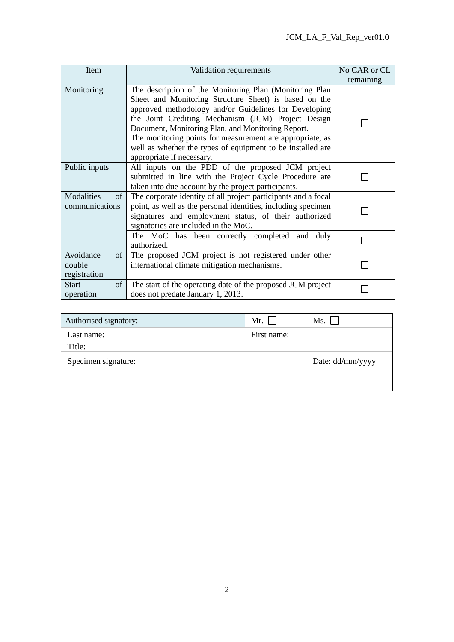| Item                                      | Validation requirements                                                                                                                                                                                                                                                                                                                                                                                                                      | No CAR or CL<br>remaining |
|-------------------------------------------|----------------------------------------------------------------------------------------------------------------------------------------------------------------------------------------------------------------------------------------------------------------------------------------------------------------------------------------------------------------------------------------------------------------------------------------------|---------------------------|
| Monitoring                                | The description of the Monitoring Plan (Monitoring Plan<br>Sheet and Monitoring Structure Sheet) is based on the<br>approved methodology and/or Guidelines for Developing<br>the Joint Crediting Mechanism (JCM) Project Design<br>Document, Monitoring Plan, and Monitoring Report.<br>The monitoring points for measurement are appropriate, as<br>well as whether the types of equipment to be installed are<br>appropriate if necessary. |                           |
| Public inputs                             | All inputs on the PDD of the proposed JCM project<br>submitted in line with the Project Cycle Procedure are<br>taken into due account by the project participants.                                                                                                                                                                                                                                                                           |                           |
| Modalities<br>of<br>communications        | The corporate identity of all project participants and a focal<br>point, as well as the personal identities, including specimen<br>signatures and employment status, of their authorized<br>signatories are included in the MoC.                                                                                                                                                                                                             |                           |
|                                           | The MoC has been correctly completed and duly<br>authorized.                                                                                                                                                                                                                                                                                                                                                                                 |                           |
| Avoidance<br>of<br>double<br>registration | The proposed JCM project is not registered under other<br>international climate mitigation mechanisms.                                                                                                                                                                                                                                                                                                                                       |                           |
| <b>Start</b><br>of<br>operation           | The start of the operating date of the proposed JCM project<br>does not predate January 1, 2013.                                                                                                                                                                                                                                                                                                                                             |                           |

| Authorised signatory: | Mr. $\Box$  | Ms.              |
|-----------------------|-------------|------------------|
| Last name:            | First name: |                  |
| Title:                |             |                  |
| Specimen signature:   |             | Date: dd/mm/yyyy |
|                       |             |                  |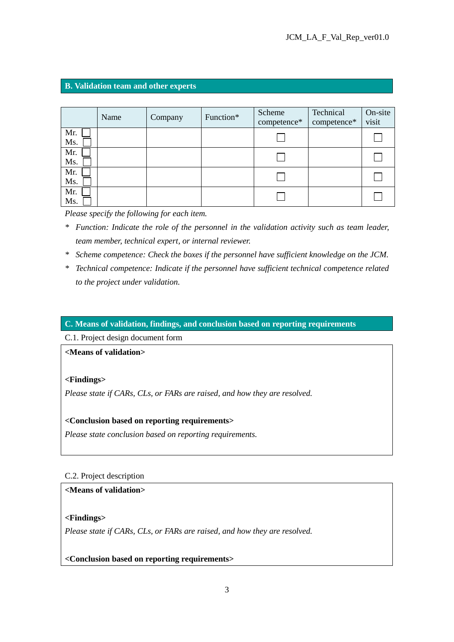#### **B. Validation team and other experts**

|            | Name | Company | Function* | Scheme<br>competence* | Technical<br>competence* | On-site<br>visit |
|------------|------|---------|-----------|-----------------------|--------------------------|------------------|
| Mr.<br>Ms. |      |         |           |                       |                          |                  |
| Mr.<br>Ms. |      |         |           |                       |                          |                  |
| Mr.<br>Ms. |      |         |           |                       |                          |                  |
| Mr.<br>Ms. |      |         |           |                       |                          |                  |

*Please specify the following for each item.*

- *\* Function: Indicate the role of the personnel in the validation activity such as team leader, team member, technical expert, or internal reviewer.*
- *\* Scheme competence: Check the boxes if the personnel have sufficient knowledge on the JCM.*
- *\* Technical competence: Indicate if the personnel have sufficient technical competence related to the project under validation.*

#### **C. Means of validation, findings, and conclusion based on reporting requirements**

C.1. Project design document form

**<Means of validation>**

#### **<Findings>**

*Please state if CARs, CLs, or FARs are raised, and how they are resolved.*

#### **<Conclusion based on reporting requirements>**

*Please state conclusion based on reporting requirements.*

#### C.2. Project description

#### **<Means of validation>**

#### **<Findings>**

*Please state if CARs, CLs, or FARs are raised, and how they are resolved.*

**<Conclusion based on reporting requirements>**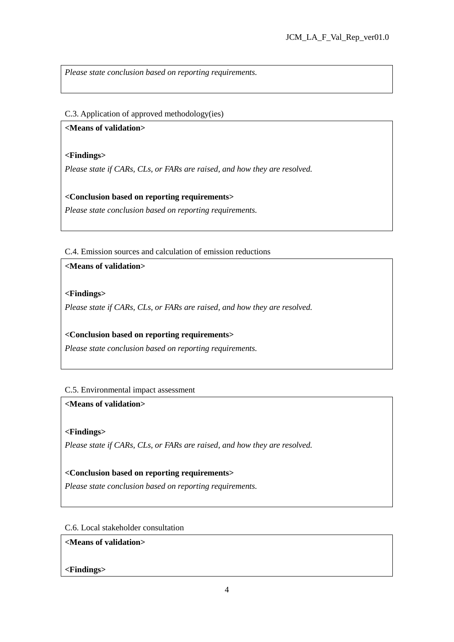*Please state conclusion based on reporting requirements.*

#### C.3. Application of approved methodology(ies)

#### **<Means of validation>**

### **<Findings>**

*Please state if CARs, CLs, or FARs are raised, and how they are resolved.*

## **<Conclusion based on reporting requirements>**

*Please state conclusion based on reporting requirements.*

### C.4. Emission sources and calculation of emission reductions

### **<Means of validation>**

### **<Findings>**

*Please state if CARs, CLs, or FARs are raised, and how they are resolved.*

## **<Conclusion based on reporting requirements>**

*Please state conclusion based on reporting requirements.*

## C.5. Environmental impact assessment

## **<Means of validation>**

## **<Findings>**

*Please state if CARs, CLs, or FARs are raised, and how they are resolved.*

## **<Conclusion based on reporting requirements>**

*Please state conclusion based on reporting requirements.*

#### C.6. Local stakeholder consultation

#### **<Means of validation>**

## **<Findings>**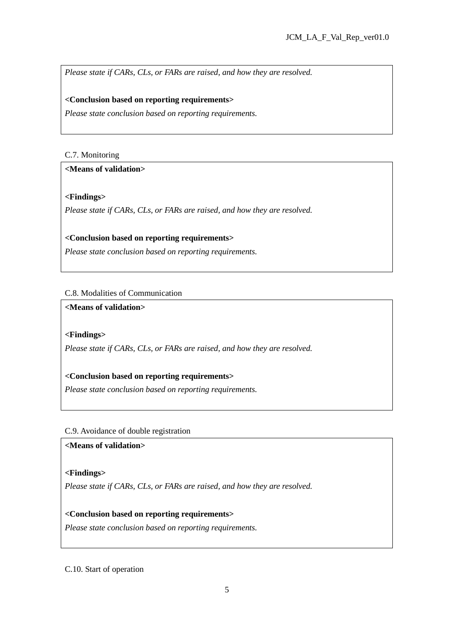*Please state if CARs, CLs, or FARs are raised, and how they are resolved.*

#### **<Conclusion based on reporting requirements>**

*Please state conclusion based on reporting requirements.*

### C.7. Monitoring

### **<Means of validation>**

## **<Findings>**

*Please state if CARs, CLs, or FARs are raised, and how they are resolved.*

### **<Conclusion based on reporting requirements>**

*Please state conclusion based on reporting requirements.*

## C.8. Modalities of Communication

**<Means of validation>**

### **<Findings>**

*Please state if CARs, CLs, or FARs are raised, and how they are resolved.*

## **<Conclusion based on reporting requirements>**

*Please state conclusion based on reporting requirements.*

#### C.9. Avoidance of double registration

### **<Means of validation>**

#### **<Findings>**

*Please state if CARs, CLs, or FARs are raised, and how they are resolved.*

#### **<Conclusion based on reporting requirements>**

*Please state conclusion based on reporting requirements.*

#### C.10. Start of operation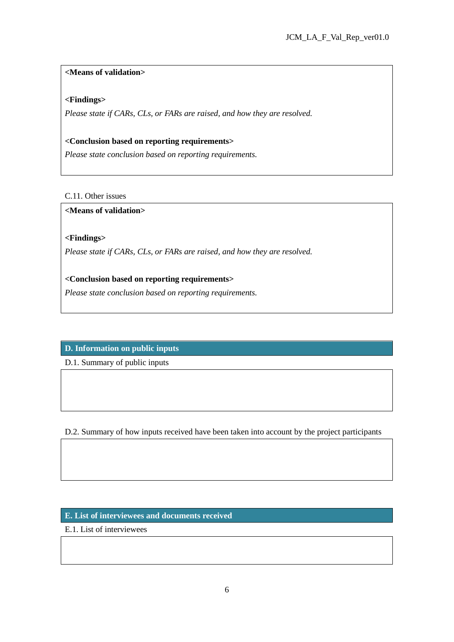## **<Means of validation>**

### **<Findings>**

*Please state if CARs, CLs, or FARs are raised, and how they are resolved.*

#### **<Conclusion based on reporting requirements>**

*Please state conclusion based on reporting requirements.*

## C.11. Other issues

### **<Means of validation>**

## **<Findings>**

*Please state if CARs, CLs, or FARs are raised, and how they are resolved.*

## **<Conclusion based on reporting requirements>**

*Please state conclusion based on reporting requirements.*

# **D. Information on public inputs**

D.1. Summary of public inputs

D.2. Summary of how inputs received have been taken into account by the project participants

## **E. List of interviewees and documents received**

E.1. List of interviewees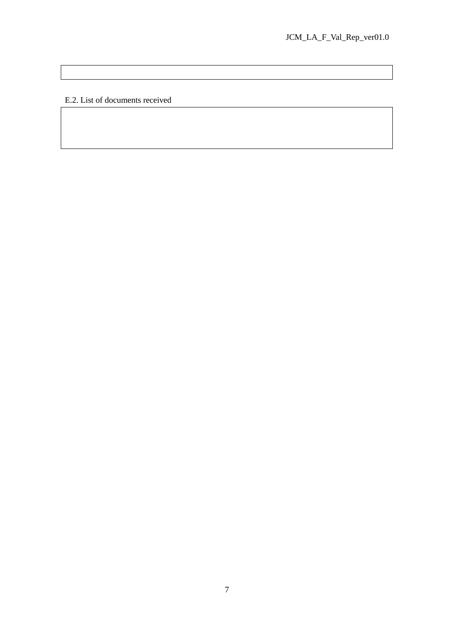E.2. List of documents received